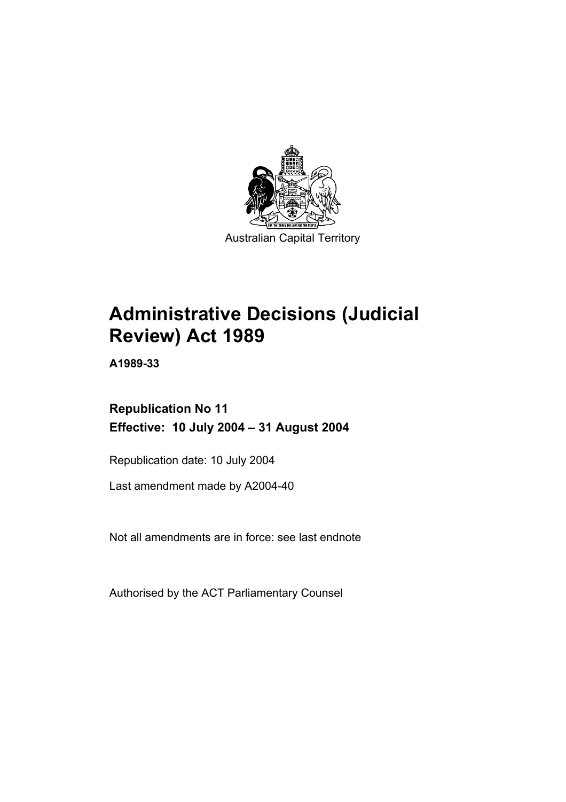

# **Administrative Decisions (Judicial Review) Act 1989**

**A1989-33** 

# **Republication No 11 Effective: 10 July 2004 – 31 August 2004**

Republication date: 10 July 2004

Last amendment made by A2004-40

Not all amendments are in force: see last endnote

Authorised by the ACT Parliamentary Counsel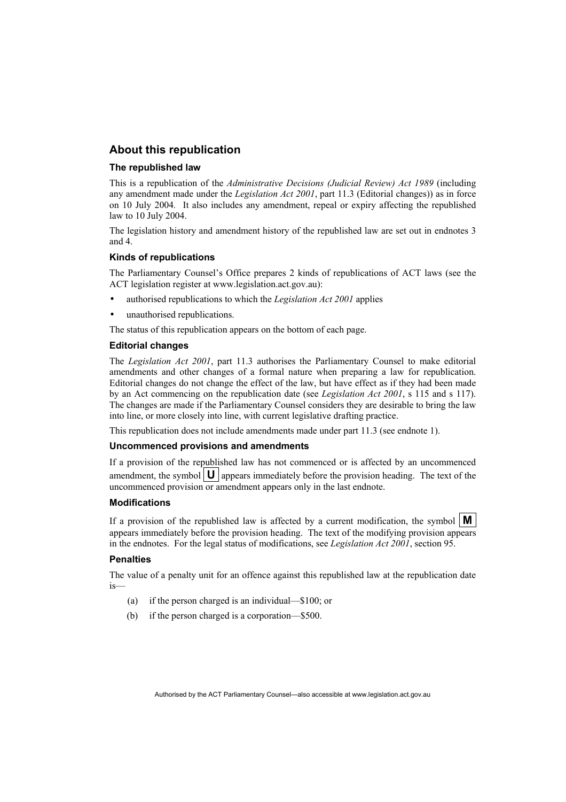# **About this republication**

## **The republished law**

This is a republication of the *Administrative Decisions (Judicial Review) Act 1989* (including any amendment made under the *Legislation Act 2001*, part 11.3 (Editorial changes)) as in force on 10 July 2004*.* It also includes any amendment, repeal or expiry affecting the republished law to 10 July 2004.

The legislation history and amendment history of the republished law are set out in endnotes 3 and 4.

# **Kinds of republications**

The Parliamentary Counsel's Office prepares 2 kinds of republications of ACT laws (see the ACT legislation register at www.legislation.act.gov.au):

- authorised republications to which the *Legislation Act 2001* applies
- unauthorised republications.

The status of this republication appears on the bottom of each page.

# **Editorial changes**

The *Legislation Act 2001*, part 11.3 authorises the Parliamentary Counsel to make editorial amendments and other changes of a formal nature when preparing a law for republication. Editorial changes do not change the effect of the law, but have effect as if they had been made by an Act commencing on the republication date (see *Legislation Act 2001*, s 115 and s 117). The changes are made if the Parliamentary Counsel considers they are desirable to bring the law into line, or more closely into line, with current legislative drafting practice.

This republication does not include amendments made under part 11.3 (see endnote 1).

## **Uncommenced provisions and amendments**

If a provision of the republished law has not commenced or is affected by an uncommenced amendment, the symbol  $\mathbf{U}$  appears immediately before the provision heading. The text of the uncommenced provision or amendment appears only in the last endnote.

## **Modifications**

If a provision of the republished law is affected by a current modification, the symbol  $\mathbf{M}$ appears immediately before the provision heading. The text of the modifying provision appears in the endnotes. For the legal status of modifications, see *Legislation Act 2001*, section 95.

## **Penalties**

The value of a penalty unit for an offence against this republished law at the republication date is—

- (a) if the person charged is an individual—\$100; or
- (b) if the person charged is a corporation—\$500.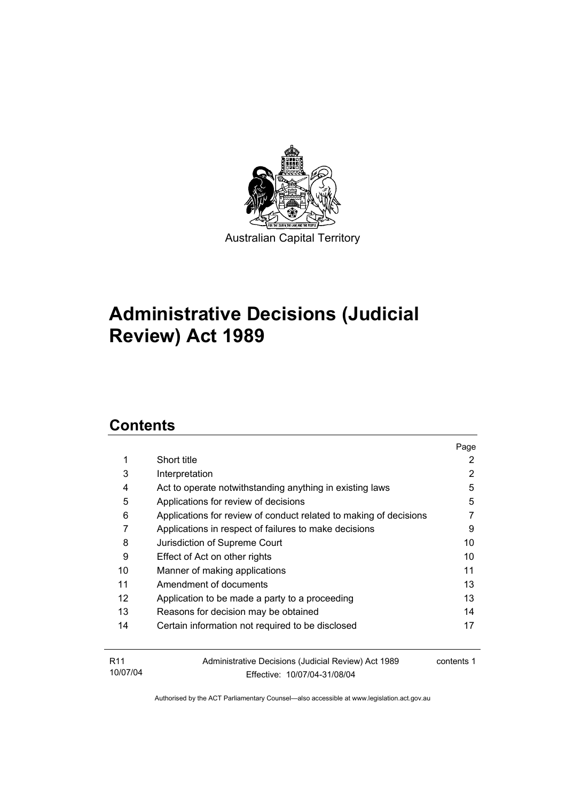

# **Administrative Decisions (Judicial Review) Act 1989**

# **Contents**

|                   |                                                                   | Page       |
|-------------------|-------------------------------------------------------------------|------------|
| 1                 | Short title                                                       | 2          |
| 3                 | Interpretation                                                    | 2          |
| 4                 | Act to operate notwithstanding anything in existing laws          | 5          |
| 5                 | Applications for review of decisions                              | 5          |
| 6                 | Applications for review of conduct related to making of decisions |            |
| 7                 | Applications in respect of failures to make decisions             | 9          |
| 8                 | Jurisdiction of Supreme Court                                     | 10         |
| 9                 | Effect of Act on other rights                                     | 10         |
| 10                | Manner of making applications                                     | 11         |
| 11                | Amendment of documents                                            | 13         |
| $12 \overline{ }$ | Application to be made a party to a proceeding                    | 13         |
| 13                | Reasons for decision may be obtained                              | 14         |
| 14                | Certain information not required to be disclosed                  | 17         |
|                   |                                                                   |            |
| R <sub>11</sub>   | Administrative Decisions (Judicial Review) Act 1989               | contents 1 |
| 10/07/04          | Effective: 10/07/04-31/08/04                                      |            |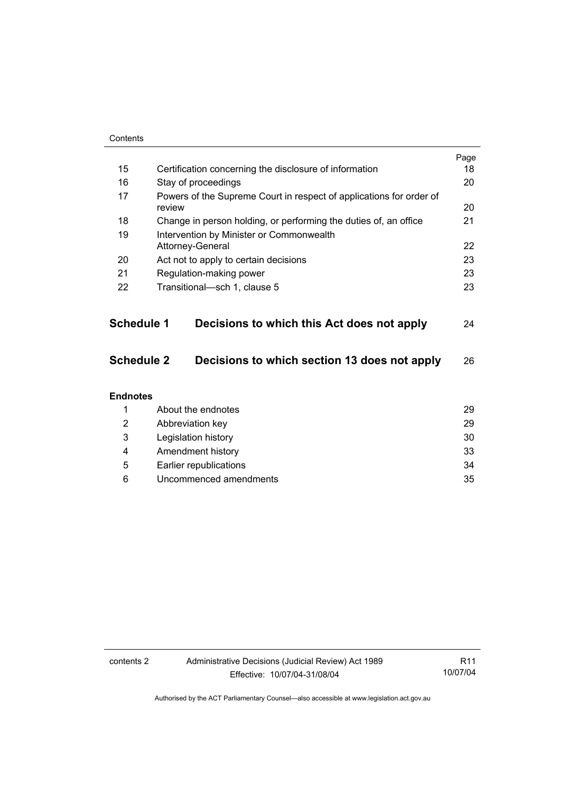| Contents          |                                                                               |      |
|-------------------|-------------------------------------------------------------------------------|------|
|                   |                                                                               | Page |
| 15                | Certification concerning the disclosure of information                        | 18   |
| 16                | Stay of proceedings                                                           | 20   |
| 17                | Powers of the Supreme Court in respect of applications for order of<br>review |      |
| 18                | Change in person holding, or performing the duties of, an office              | 21   |
| 19                | Intervention by Minister or Commonwealth                                      |      |
|                   | Attorney-General                                                              | 22   |
| 20                | Act not to apply to certain decisions                                         | 23   |
| 21                | Regulation-making power                                                       | 23   |
| 22                | Transitional-sch 1, clause 5                                                  | 23   |
|                   |                                                                               |      |
| <b>Schedule 1</b> | Decisions to which this Act does not apply                                    | 24   |
| <b>Schedule 2</b> | Decisions to which section 13 does not apply                                  | 26   |
| <b>Endnotes</b>   |                                                                               |      |
| 1                 | About the endnotes                                                            | 29   |
| 2                 | Abbreviation key                                                              |      |
| 3                 | Legislation history                                                           |      |
| 4                 | 33<br>Amendment history                                                       |      |
| 5                 | Earlier republications<br>34                                                  |      |
| 6                 | Uncommenced amendments<br>35                                                  |      |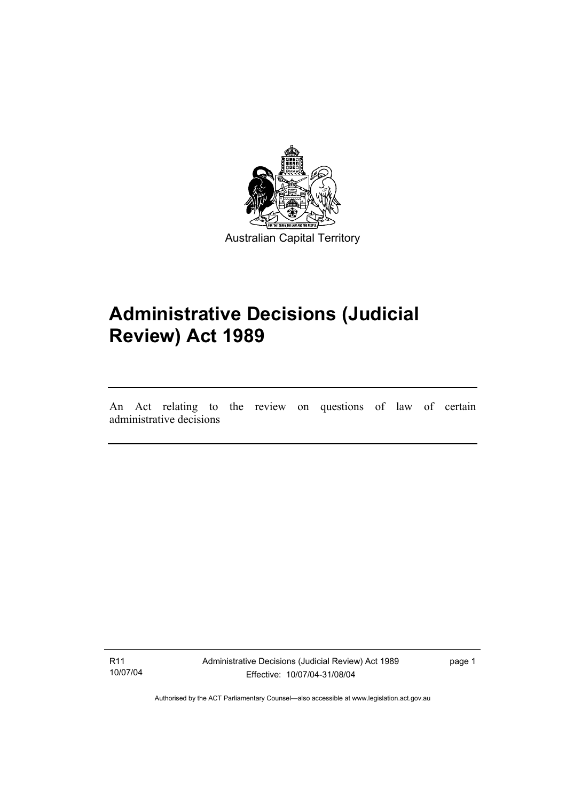

# **Administrative Decisions (Judicial Review) Act 1989**

An Act relating to the review on questions of law of certain administrative decisions

R11 10/07/04

I

Administrative Decisions (Judicial Review) Act 1989 Effective: 10/07/04-31/08/04

page 1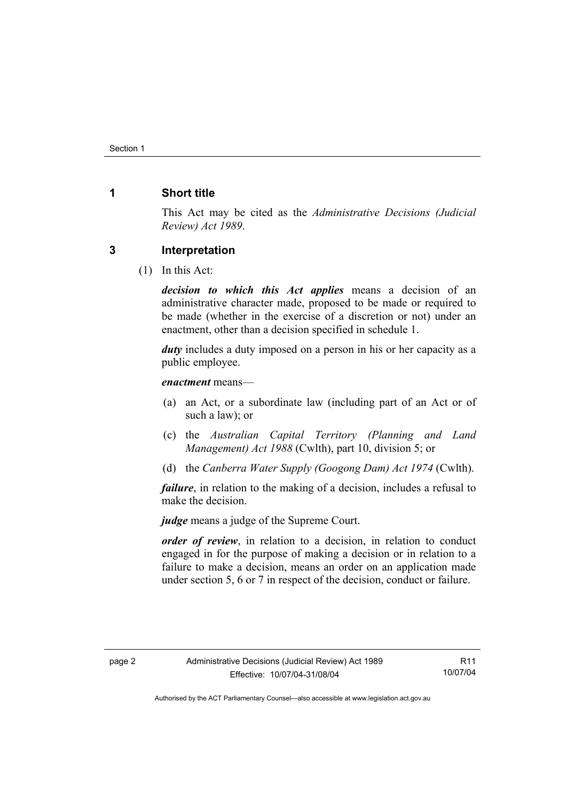# **1 Short title**

This Act may be cited as the *Administrative Decisions (Judicial Review) Act 1989*.

# **3 Interpretation**

(1) In this Act:

*decision to which this Act applies* means a decision of an administrative character made, proposed to be made or required to be made (whether in the exercise of a discretion or not) under an enactment, other than a decision specified in schedule 1.

*duty* includes a duty imposed on a person in his or her capacity as a public employee.

*enactment* means—

- (a) an Act, or a subordinate law (including part of an Act or of such a law); or
- (c) the *Australian Capital Territory (Planning and Land Management) Act 1988* (Cwlth), part 10, division 5; or
- (d) the *Canberra Water Supply (Googong Dam) Act 1974* (Cwlth).

*failure*, in relation to the making of a decision, includes a refusal to make the decision.

*judge* means a judge of the Supreme Court.

*order of review*, in relation to a decision, in relation to conduct engaged in for the purpose of making a decision or in relation to a failure to make a decision, means an order on an application made under section 5, 6 or 7 in respect of the decision, conduct or failure.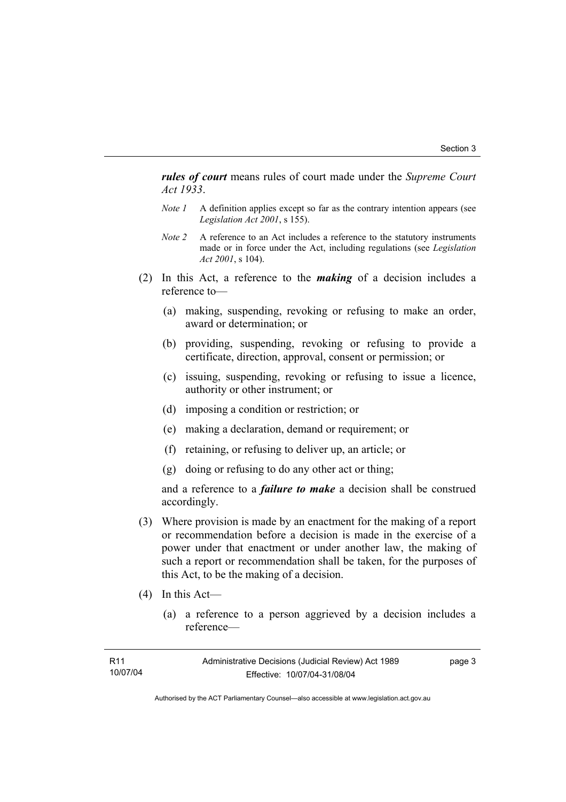*rules of court* means rules of court made under the *Supreme Court Act 1933*.

- *Note 1* A definition applies except so far as the contrary intention appears (see *Legislation Act 2001*, s 155).
- *Note 2* A reference to an Act includes a reference to the statutory instruments made or in force under the Act, including regulations (see *Legislation Act 2001*, s 104).
- (2) In this Act, a reference to the *making* of a decision includes a reference to—
	- (a) making, suspending, revoking or refusing to make an order, award or determination; or
	- (b) providing, suspending, revoking or refusing to provide a certificate, direction, approval, consent or permission; or
	- (c) issuing, suspending, revoking or refusing to issue a licence, authority or other instrument; or
	- (d) imposing a condition or restriction; or
	- (e) making a declaration, demand or requirement; or
	- (f) retaining, or refusing to deliver up, an article; or
	- (g) doing or refusing to do any other act or thing;

and a reference to a *failure to make* a decision shall be construed accordingly.

- (3) Where provision is made by an enactment for the making of a report or recommendation before a decision is made in the exercise of a power under that enactment or under another law, the making of such a report or recommendation shall be taken, for the purposes of this Act, to be the making of a decision.
- (4) In this Act—
	- (a) a reference to a person aggrieved by a decision includes a reference—

| R11      | Administrative Decisions (Judicial Review) Act 1989 | page 3 |
|----------|-----------------------------------------------------|--------|
| 10/07/04 | Effective: 10/07/04-31/08/04                        |        |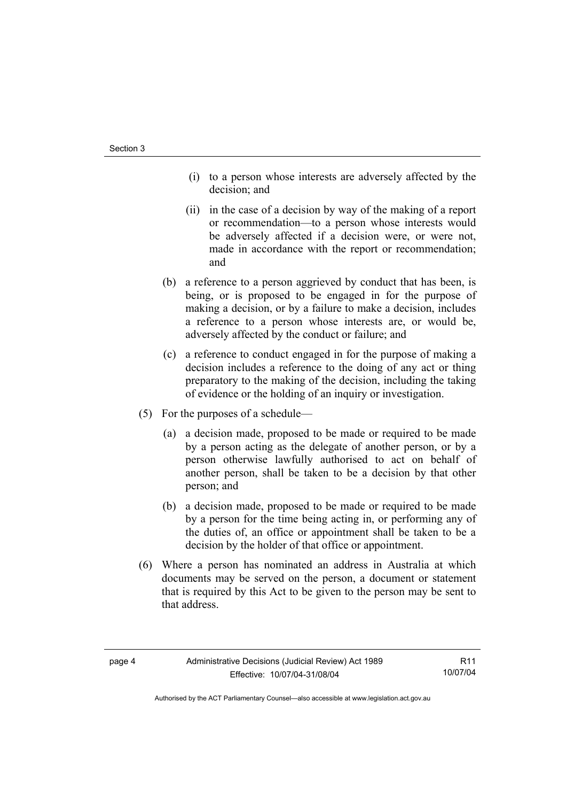- (i) to a person whose interests are adversely affected by the decision; and
- (ii) in the case of a decision by way of the making of a report or recommendation—to a person whose interests would be adversely affected if a decision were, or were not, made in accordance with the report or recommendation; and
- (b) a reference to a person aggrieved by conduct that has been, is being, or is proposed to be engaged in for the purpose of making a decision, or by a failure to make a decision, includes a reference to a person whose interests are, or would be, adversely affected by the conduct or failure; and
- (c) a reference to conduct engaged in for the purpose of making a decision includes a reference to the doing of any act or thing preparatory to the making of the decision, including the taking of evidence or the holding of an inquiry or investigation.
- (5) For the purposes of a schedule—
	- (a) a decision made, proposed to be made or required to be made by a person acting as the delegate of another person, or by a person otherwise lawfully authorised to act on behalf of another person, shall be taken to be a decision by that other person; and
	- (b) a decision made, proposed to be made or required to be made by a person for the time being acting in, or performing any of the duties of, an office or appointment shall be taken to be a decision by the holder of that office or appointment.
- (6) Where a person has nominated an address in Australia at which documents may be served on the person, a document or statement that is required by this Act to be given to the person may be sent to that address.

R11 10/07/04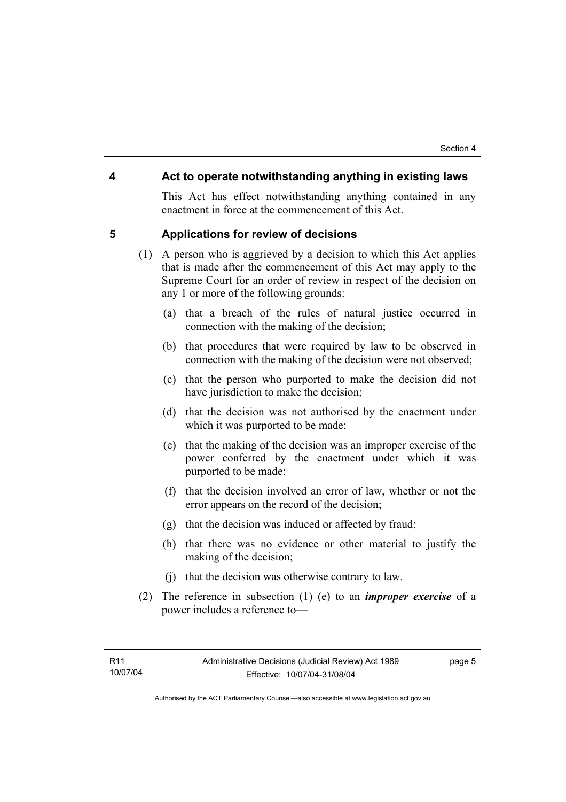# **4 Act to operate notwithstanding anything in existing laws**

This Act has effect notwithstanding anything contained in any enactment in force at the commencement of this Act.

# **5 Applications for review of decisions**

- (1) A person who is aggrieved by a decision to which this Act applies that is made after the commencement of this Act may apply to the Supreme Court for an order of review in respect of the decision on any 1 or more of the following grounds:
	- (a) that a breach of the rules of natural justice occurred in connection with the making of the decision;
	- (b) that procedures that were required by law to be observed in connection with the making of the decision were not observed;
	- (c) that the person who purported to make the decision did not have jurisdiction to make the decision;
	- (d) that the decision was not authorised by the enactment under which it was purported to be made;
	- (e) that the making of the decision was an improper exercise of the power conferred by the enactment under which it was purported to be made;
	- (f) that the decision involved an error of law, whether or not the error appears on the record of the decision;
	- (g) that the decision was induced or affected by fraud;
	- (h) that there was no evidence or other material to justify the making of the decision;
	- (j) that the decision was otherwise contrary to law.
- (2) The reference in subsection (1) (e) to an *improper exercise* of a power includes a reference to—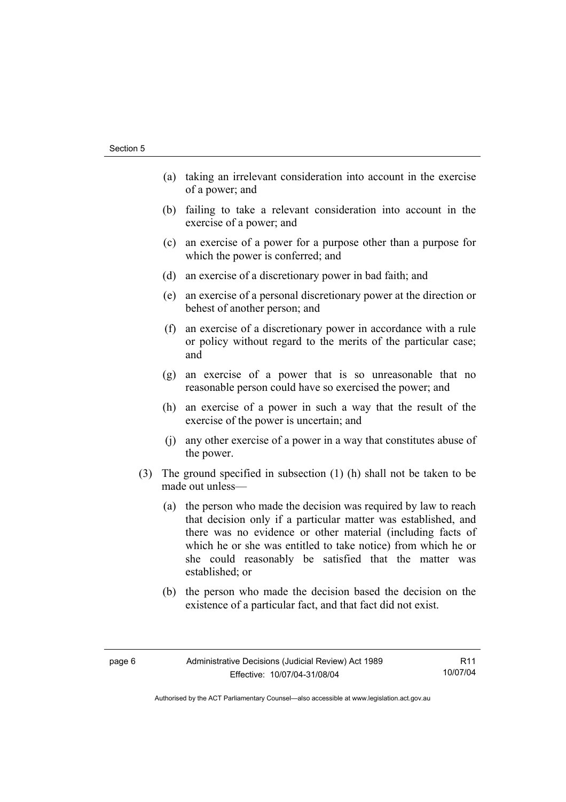- (a) taking an irrelevant consideration into account in the exercise of a power; and
- (b) failing to take a relevant consideration into account in the exercise of a power; and
- (c) an exercise of a power for a purpose other than a purpose for which the power is conferred; and
- (d) an exercise of a discretionary power in bad faith; and
- (e) an exercise of a personal discretionary power at the direction or behest of another person; and
- (f) an exercise of a discretionary power in accordance with a rule or policy without regard to the merits of the particular case; and
- (g) an exercise of a power that is so unreasonable that no reasonable person could have so exercised the power; and
- (h) an exercise of a power in such a way that the result of the exercise of the power is uncertain; and
- (j) any other exercise of a power in a way that constitutes abuse of the power.
- (3) The ground specified in subsection (1) (h) shall not be taken to be made out unless—
	- (a) the person who made the decision was required by law to reach that decision only if a particular matter was established, and there was no evidence or other material (including facts of which he or she was entitled to take notice) from which he or she could reasonably be satisfied that the matter was established; or
	- (b) the person who made the decision based the decision on the existence of a particular fact, and that fact did not exist.

R11 10/07/04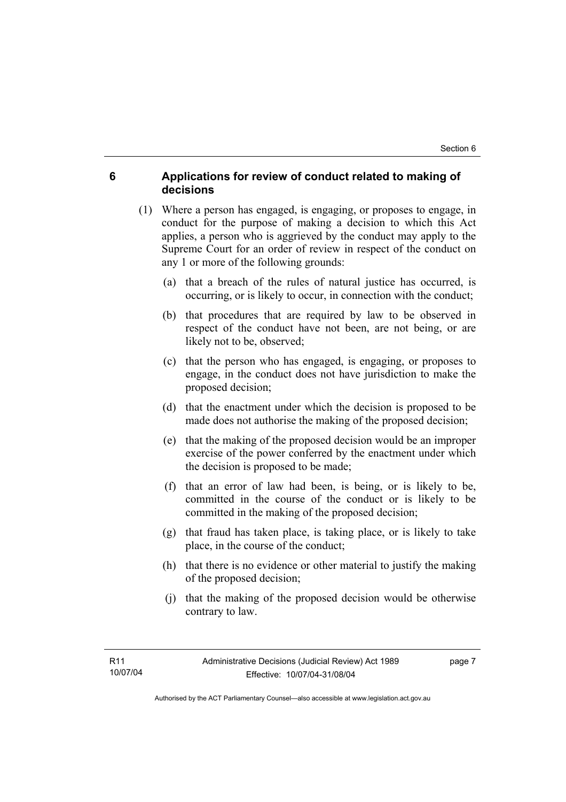# **6 Applications for review of conduct related to making of decisions**

- (1) Where a person has engaged, is engaging, or proposes to engage, in conduct for the purpose of making a decision to which this Act applies, a person who is aggrieved by the conduct may apply to the Supreme Court for an order of review in respect of the conduct on any 1 or more of the following grounds:
	- (a) that a breach of the rules of natural justice has occurred, is occurring, or is likely to occur, in connection with the conduct;
	- (b) that procedures that are required by law to be observed in respect of the conduct have not been, are not being, or are likely not to be, observed;
	- (c) that the person who has engaged, is engaging, or proposes to engage, in the conduct does not have jurisdiction to make the proposed decision;
	- (d) that the enactment under which the decision is proposed to be made does not authorise the making of the proposed decision;
	- (e) that the making of the proposed decision would be an improper exercise of the power conferred by the enactment under which the decision is proposed to be made;
	- (f) that an error of law had been, is being, or is likely to be, committed in the course of the conduct or is likely to be committed in the making of the proposed decision;
	- (g) that fraud has taken place, is taking place, or is likely to take place, in the course of the conduct;
	- (h) that there is no evidence or other material to justify the making of the proposed decision;
	- (j) that the making of the proposed decision would be otherwise contrary to law.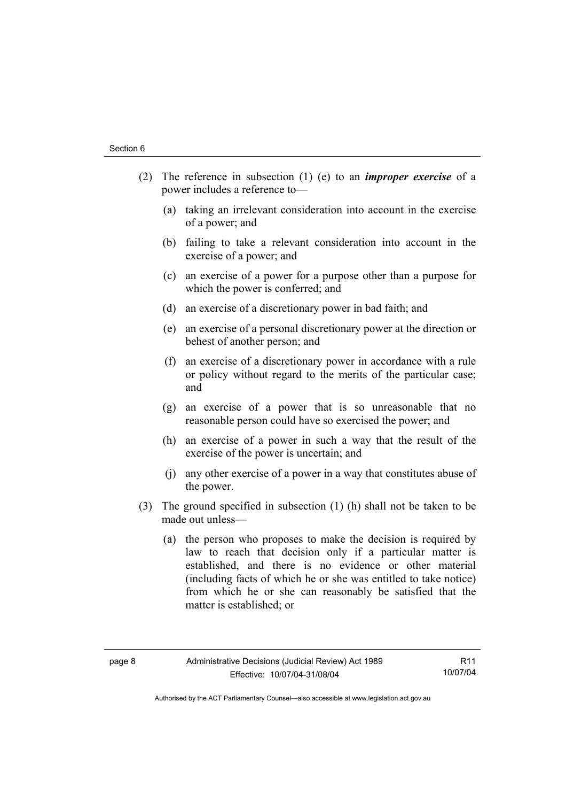- (2) The reference in subsection (1) (e) to an *improper exercise* of a power includes a reference to—
	- (a) taking an irrelevant consideration into account in the exercise of a power; and
	- (b) failing to take a relevant consideration into account in the exercise of a power; and
	- (c) an exercise of a power for a purpose other than a purpose for which the power is conferred; and
	- (d) an exercise of a discretionary power in bad faith; and
	- (e) an exercise of a personal discretionary power at the direction or behest of another person; and
	- (f) an exercise of a discretionary power in accordance with a rule or policy without regard to the merits of the particular case; and
	- (g) an exercise of a power that is so unreasonable that no reasonable person could have so exercised the power; and
	- (h) an exercise of a power in such a way that the result of the exercise of the power is uncertain; and
	- (j) any other exercise of a power in a way that constitutes abuse of the power.
- (3) The ground specified in subsection (1) (h) shall not be taken to be made out unless—
	- (a) the person who proposes to make the decision is required by law to reach that decision only if a particular matter is established, and there is no evidence or other material (including facts of which he or she was entitled to take notice) from which he or she can reasonably be satisfied that the matter is established; or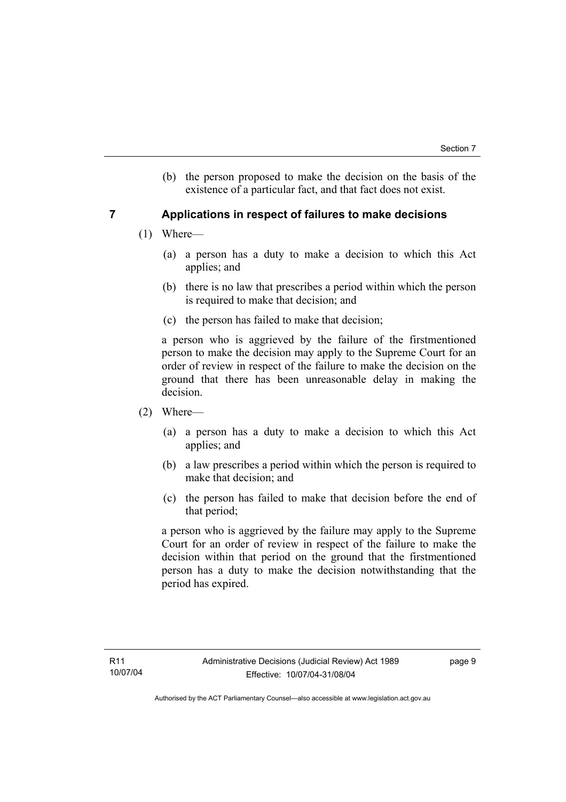(b) the person proposed to make the decision on the basis of the existence of a particular fact, and that fact does not exist.

# **7 Applications in respect of failures to make decisions**

- (1) Where—
	- (a) a person has a duty to make a decision to which this Act applies; and
	- (b) there is no law that prescribes a period within which the person is required to make that decision; and
	- (c) the person has failed to make that decision;

a person who is aggrieved by the failure of the firstmentioned person to make the decision may apply to the Supreme Court for an order of review in respect of the failure to make the decision on the ground that there has been unreasonable delay in making the decision.

- (2) Where—
	- (a) a person has a duty to make a decision to which this Act applies; and
	- (b) a law prescribes a period within which the person is required to make that decision; and
	- (c) the person has failed to make that decision before the end of that period;

a person who is aggrieved by the failure may apply to the Supreme Court for an order of review in respect of the failure to make the decision within that period on the ground that the firstmentioned person has a duty to make the decision notwithstanding that the period has expired.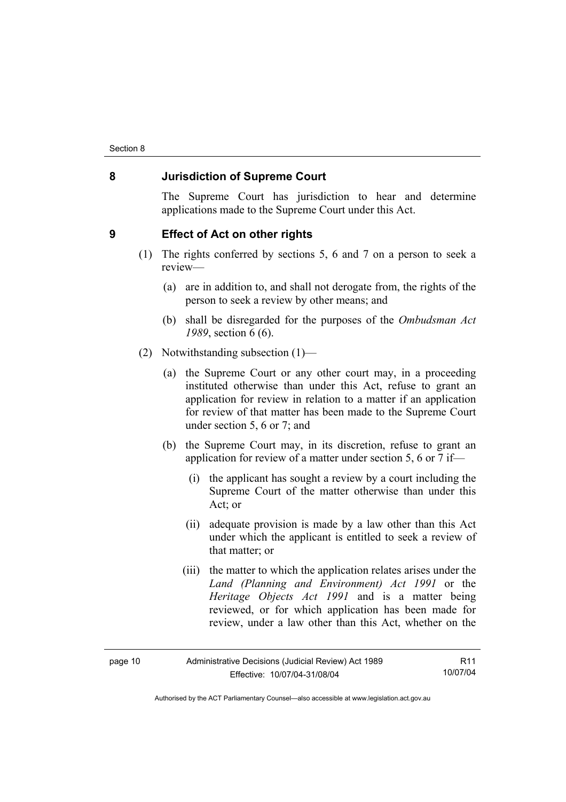# **8 Jurisdiction of Supreme Court**

The Supreme Court has jurisdiction to hear and determine applications made to the Supreme Court under this Act.

# **9 Effect of Act on other rights**

- (1) The rights conferred by sections 5, 6 and 7 on a person to seek a review—
	- (a) are in addition to, and shall not derogate from, the rights of the person to seek a review by other means; and
	- (b) shall be disregarded for the purposes of the *Ombudsman Act 1989*, section 6 (6).
- (2) Notwithstanding subsection (1)—
	- (a) the Supreme Court or any other court may, in a proceeding instituted otherwise than under this Act, refuse to grant an application for review in relation to a matter if an application for review of that matter has been made to the Supreme Court under section 5, 6 or 7; and
	- (b) the Supreme Court may, in its discretion, refuse to grant an application for review of a matter under section 5, 6 or 7 if—
		- (i) the applicant has sought a review by a court including the Supreme Court of the matter otherwise than under this Act; or
		- (ii) adequate provision is made by a law other than this Act under which the applicant is entitled to seek a review of that matter; or
		- (iii) the matter to which the application relates arises under the *Land (Planning and Environment) Act 1991* or the *Heritage Objects Act 1991* and is a matter being reviewed, or for which application has been made for review, under a law other than this Act, whether on the

| page 10 | Administrative Decisions (Judicial Review) Act 1989 | R <sub>11</sub> |
|---------|-----------------------------------------------------|-----------------|
|         | Effective: 10/07/04-31/08/04                        | 10/07/04        |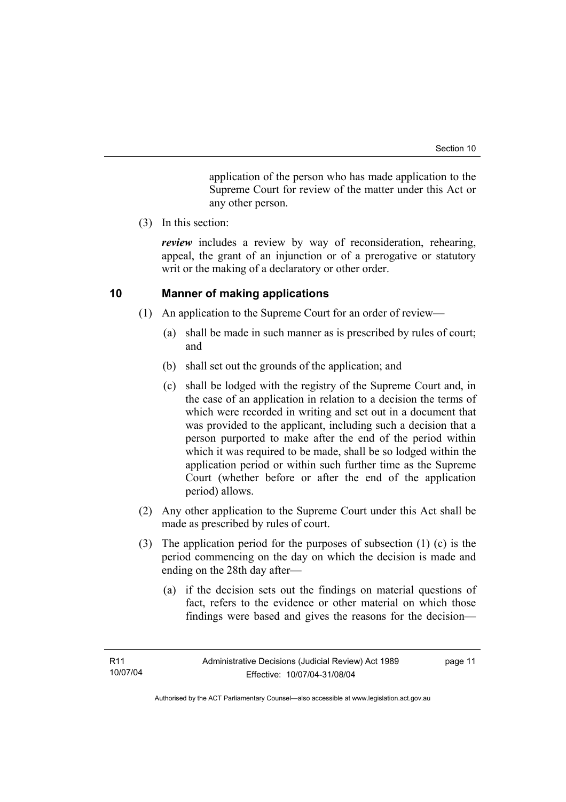application of the person who has made application to the Supreme Court for review of the matter under this Act or any other person.

(3) In this section:

*review* includes a review by way of reconsideration, rehearing, appeal, the grant of an injunction or of a prerogative or statutory writ or the making of a declaratory or other order.

# **10 Manner of making applications**

- (1) An application to the Supreme Court for an order of review—
	- (a) shall be made in such manner as is prescribed by rules of court; and
	- (b) shall set out the grounds of the application; and
	- (c) shall be lodged with the registry of the Supreme Court and, in the case of an application in relation to a decision the terms of which were recorded in writing and set out in a document that was provided to the applicant, including such a decision that a person purported to make after the end of the period within which it was required to be made, shall be so lodged within the application period or within such further time as the Supreme Court (whether before or after the end of the application period) allows.
- (2) Any other application to the Supreme Court under this Act shall be made as prescribed by rules of court.
- (3) The application period for the purposes of subsection (1) (c) is the period commencing on the day on which the decision is made and ending on the 28th day after—
	- (a) if the decision sets out the findings on material questions of fact, refers to the evidence or other material on which those findings were based and gives the reasons for the decision—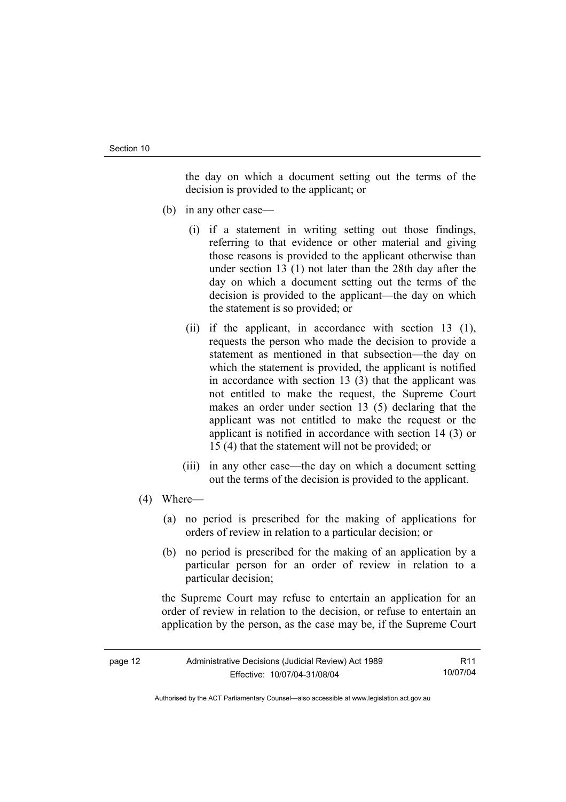the day on which a document setting out the terms of the decision is provided to the applicant; or

- (b) in any other case—
	- (i) if a statement in writing setting out those findings, referring to that evidence or other material and giving those reasons is provided to the applicant otherwise than under section 13 (1) not later than the 28th day after the day on which a document setting out the terms of the decision is provided to the applicant—the day on which the statement is so provided; or
	- (ii) if the applicant, in accordance with section 13 (1), requests the person who made the decision to provide a statement as mentioned in that subsection—the day on which the statement is provided, the applicant is notified in accordance with section 13 (3) that the applicant was not entitled to make the request, the Supreme Court makes an order under section 13 (5) declaring that the applicant was not entitled to make the request or the applicant is notified in accordance with section 14 (3) or 15 (4) that the statement will not be provided; or
	- (iii) in any other case—the day on which a document setting out the terms of the decision is provided to the applicant.
- (4) Where—
	- (a) no period is prescribed for the making of applications for orders of review in relation to a particular decision; or
	- (b) no period is prescribed for the making of an application by a particular person for an order of review in relation to a particular decision;

the Supreme Court may refuse to entertain an application for an order of review in relation to the decision, or refuse to entertain an application by the person, as the case may be, if the Supreme Court

| page 12 | Administrative Decisions (Judicial Review) Act 1989 | R11      |
|---------|-----------------------------------------------------|----------|
|         | Effective: 10/07/04-31/08/04                        | 10/07/04 |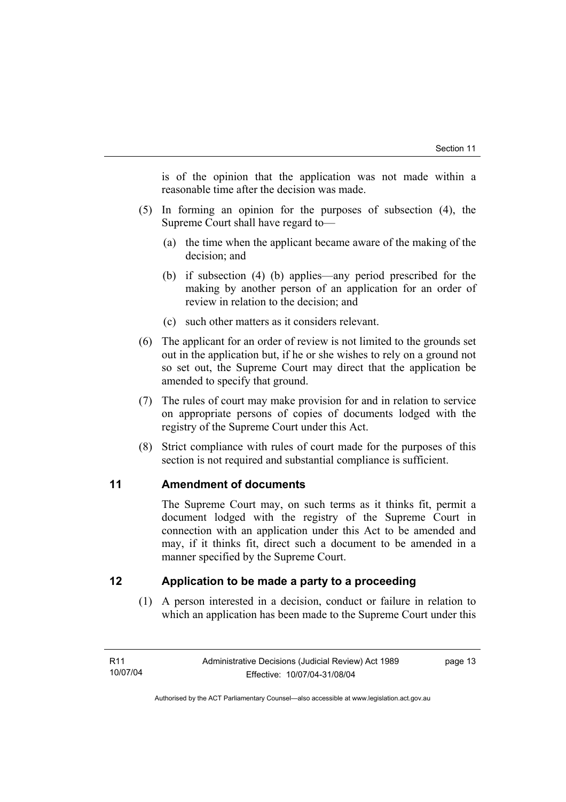is of the opinion that the application was not made within a reasonable time after the decision was made.

- (5) In forming an opinion for the purposes of subsection (4), the Supreme Court shall have regard to—
	- (a) the time when the applicant became aware of the making of the decision; and
	- (b) if subsection (4) (b) applies—any period prescribed for the making by another person of an application for an order of review in relation to the decision; and
	- (c) such other matters as it considers relevant.
- (6) The applicant for an order of review is not limited to the grounds set out in the application but, if he or she wishes to rely on a ground not so set out, the Supreme Court may direct that the application be amended to specify that ground.
- (7) The rules of court may make provision for and in relation to service on appropriate persons of copies of documents lodged with the registry of the Supreme Court under this Act.
- (8) Strict compliance with rules of court made for the purposes of this section is not required and substantial compliance is sufficient.

# **11 Amendment of documents**

The Supreme Court may, on such terms as it thinks fit, permit a document lodged with the registry of the Supreme Court in connection with an application under this Act to be amended and may, if it thinks fit, direct such a document to be amended in a manner specified by the Supreme Court.

# **12 Application to be made a party to a proceeding**

 (1) A person interested in a decision, conduct or failure in relation to which an application has been made to the Supreme Court under this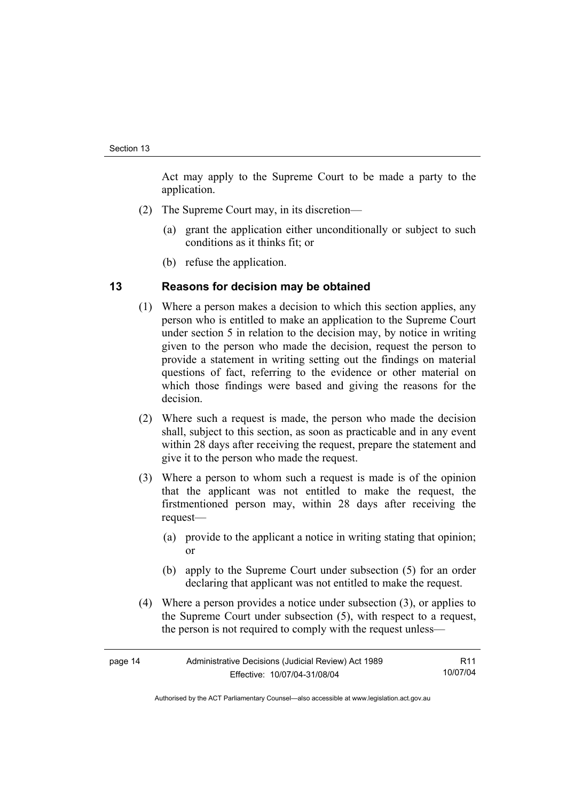Act may apply to the Supreme Court to be made a party to the application.

- (2) The Supreme Court may, in its discretion—
	- (a) grant the application either unconditionally or subject to such conditions as it thinks fit; or
	- (b) refuse the application.

# **13 Reasons for decision may be obtained**

- (1) Where a person makes a decision to which this section applies, any person who is entitled to make an application to the Supreme Court under section 5 in relation to the decision may, by notice in writing given to the person who made the decision, request the person to provide a statement in writing setting out the findings on material questions of fact, referring to the evidence or other material on which those findings were based and giving the reasons for the decision.
- (2) Where such a request is made, the person who made the decision shall, subject to this section, as soon as practicable and in any event within 28 days after receiving the request, prepare the statement and give it to the person who made the request.
- (3) Where a person to whom such a request is made is of the opinion that the applicant was not entitled to make the request, the firstmentioned person may, within 28 days after receiving the request—
	- (a) provide to the applicant a notice in writing stating that opinion; or
	- (b) apply to the Supreme Court under subsection (5) for an order declaring that applicant was not entitled to make the request.
- (4) Where a person provides a notice under subsection (3), or applies to the Supreme Court under subsection (5), with respect to a request, the person is not required to comply with the request unless—

| page 14 | Administrative Decisions (Judicial Review) Act 1989 | R11      |
|---------|-----------------------------------------------------|----------|
|         | Effective: 10/07/04-31/08/04                        | 10/07/04 |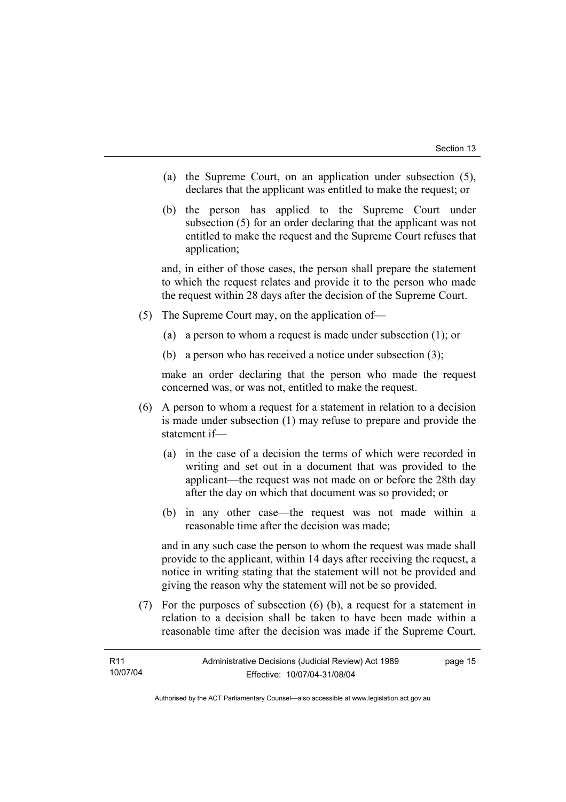- (a) the Supreme Court, on an application under subsection (5), declares that the applicant was entitled to make the request; or
- (b) the person has applied to the Supreme Court under subsection (5) for an order declaring that the applicant was not entitled to make the request and the Supreme Court refuses that application;

and, in either of those cases, the person shall prepare the statement to which the request relates and provide it to the person who made the request within 28 days after the decision of the Supreme Court.

- (5) The Supreme Court may, on the application of—
	- (a) a person to whom a request is made under subsection (1); or
	- (b) a person who has received a notice under subsection (3);

make an order declaring that the person who made the request concerned was, or was not, entitled to make the request.

- (6) A person to whom a request for a statement in relation to a decision is made under subsection (1) may refuse to prepare and provide the statement if—
	- (a) in the case of a decision the terms of which were recorded in writing and set out in a document that was provided to the applicant—the request was not made on or before the 28th day after the day on which that document was so provided; or
	- (b) in any other case—the request was not made within a reasonable time after the decision was made;

and in any such case the person to whom the request was made shall provide to the applicant, within 14 days after receiving the request, a notice in writing stating that the statement will not be provided and giving the reason why the statement will not be so provided.

 (7) For the purposes of subsection (6) (b), a request for a statement in relation to a decision shall be taken to have been made within a reasonable time after the decision was made if the Supreme Court,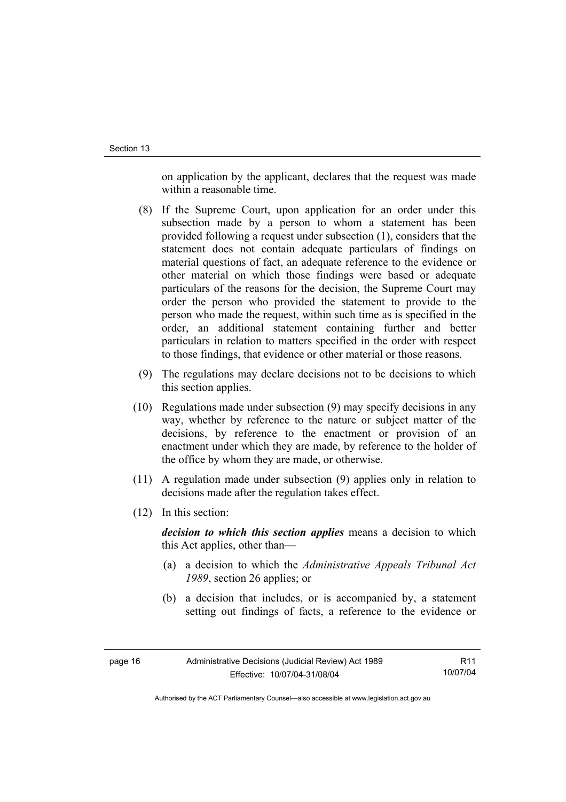on application by the applicant, declares that the request was made within a reasonable time.

- (8) If the Supreme Court, upon application for an order under this subsection made by a person to whom a statement has been provided following a request under subsection (1), considers that the statement does not contain adequate particulars of findings on material questions of fact, an adequate reference to the evidence or other material on which those findings were based or adequate particulars of the reasons for the decision, the Supreme Court may order the person who provided the statement to provide to the person who made the request, within such time as is specified in the order, an additional statement containing further and better particulars in relation to matters specified in the order with respect to those findings, that evidence or other material or those reasons.
- (9) The regulations may declare decisions not to be decisions to which this section applies.
- (10) Regulations made under subsection (9) may specify decisions in any way, whether by reference to the nature or subject matter of the decisions, by reference to the enactment or provision of an enactment under which they are made, by reference to the holder of the office by whom they are made, or otherwise.
- (11) A regulation made under subsection (9) applies only in relation to decisions made after the regulation takes effect.
- (12) In this section:

*decision to which this section applies* means a decision to which this Act applies, other than—

- (a) a decision to which the *Administrative Appeals Tribunal Act 1989*, section 26 applies; or
- (b) a decision that includes, or is accompanied by, a statement setting out findings of facts, a reference to the evidence or

R11 10/07/04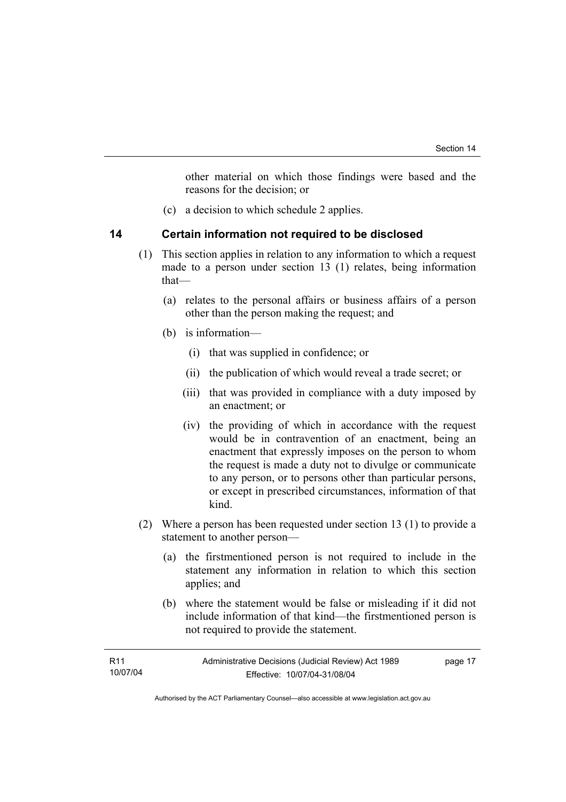other material on which those findings were based and the reasons for the decision; or

(c) a decision to which schedule 2 applies.

# **14 Certain information not required to be disclosed**

- (1) This section applies in relation to any information to which a request made to a person under section 13 (1) relates, being information that—
	- (a) relates to the personal affairs or business affairs of a person other than the person making the request; and
	- (b) is information—
		- (i) that was supplied in confidence; or
		- (ii) the publication of which would reveal a trade secret; or
		- (iii) that was provided in compliance with a duty imposed by an enactment; or
		- (iv) the providing of which in accordance with the request would be in contravention of an enactment, being an enactment that expressly imposes on the person to whom the request is made a duty not to divulge or communicate to any person, or to persons other than particular persons, or except in prescribed circumstances, information of that kind.
- (2) Where a person has been requested under section 13 (1) to provide a statement to another person—
	- (a) the firstmentioned person is not required to include in the statement any information in relation to which this section applies; and
	- (b) where the statement would be false or misleading if it did not include information of that kind—the firstmentioned person is not required to provide the statement.

| R11      | Administrative Decisions (Judicial Review) Act 1989 | page 17 |
|----------|-----------------------------------------------------|---------|
| 10/07/04 | Effective: 10/07/04-31/08/04                        |         |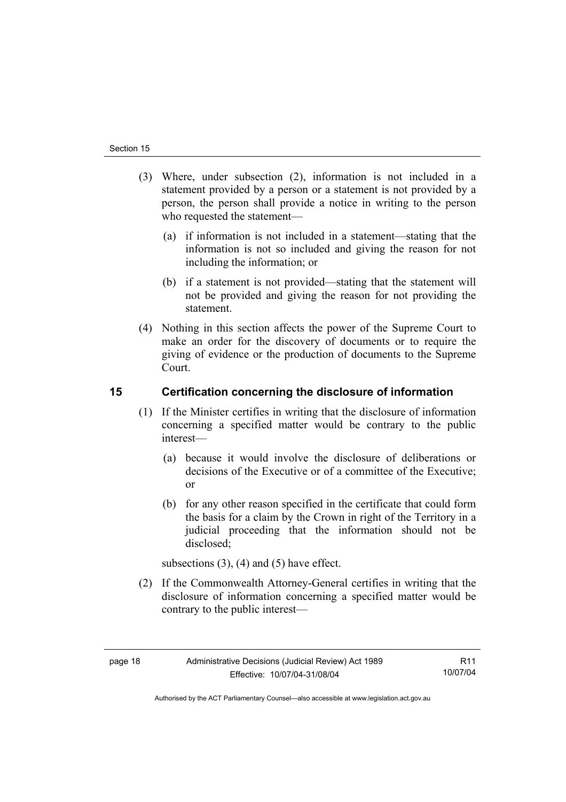- (3) Where, under subsection (2), information is not included in a statement provided by a person or a statement is not provided by a person, the person shall provide a notice in writing to the person who requested the statement—
	- (a) if information is not included in a statement—stating that the information is not so included and giving the reason for not including the information; or
	- (b) if a statement is not provided—stating that the statement will not be provided and giving the reason for not providing the statement.
- (4) Nothing in this section affects the power of the Supreme Court to make an order for the discovery of documents or to require the giving of evidence or the production of documents to the Supreme Court.

# **15 Certification concerning the disclosure of information**

- (1) If the Minister certifies in writing that the disclosure of information concerning a specified matter would be contrary to the public interest—
	- (a) because it would involve the disclosure of deliberations or decisions of the Executive or of a committee of the Executive; or
	- (b) for any other reason specified in the certificate that could form the basis for a claim by the Crown in right of the Territory in a judicial proceeding that the information should not be disclosed;

subsections  $(3)$ ,  $(4)$  and  $(5)$  have effect.

 (2) If the Commonwealth Attorney-General certifies in writing that the disclosure of information concerning a specified matter would be contrary to the public interest—

R11 10/07/04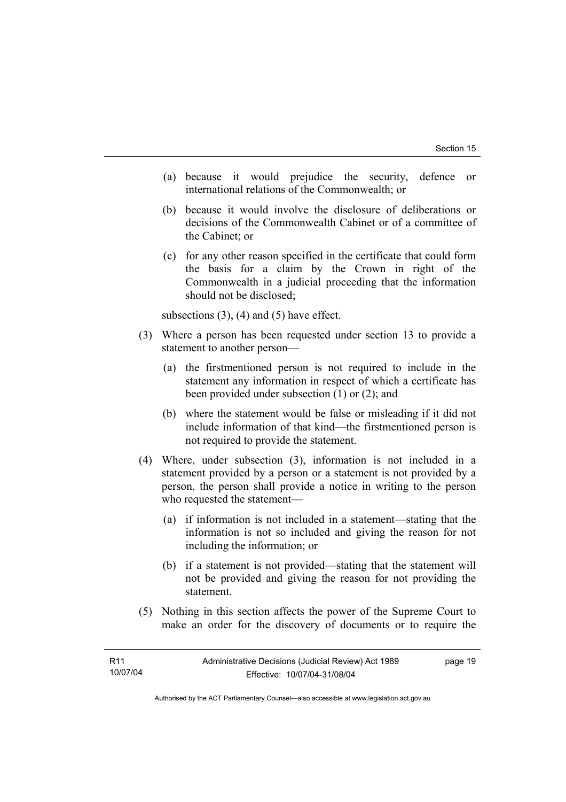- (a) because it would prejudice the security, defence or international relations of the Commonwealth; or
- (b) because it would involve the disclosure of deliberations or decisions of the Commonwealth Cabinet or of a committee of the Cabinet; or
- (c) for any other reason specified in the certificate that could form the basis for a claim by the Crown in right of the Commonwealth in a judicial proceeding that the information should not be disclosed;

subsections  $(3)$ ,  $(4)$  and  $(5)$  have effect.

- (3) Where a person has been requested under section 13 to provide a statement to another person—
	- (a) the firstmentioned person is not required to include in the statement any information in respect of which a certificate has been provided under subsection (1) or (2); and
	- (b) where the statement would be false or misleading if it did not include information of that kind—the firstmentioned person is not required to provide the statement.
- (4) Where, under subsection (3), information is not included in a statement provided by a person or a statement is not provided by a person, the person shall provide a notice in writing to the person who requested the statement—
	- (a) if information is not included in a statement—stating that the information is not so included and giving the reason for not including the information; or
	- (b) if a statement is not provided—stating that the statement will not be provided and giving the reason for not providing the statement.
- (5) Nothing in this section affects the power of the Supreme Court to make an order for the discovery of documents or to require the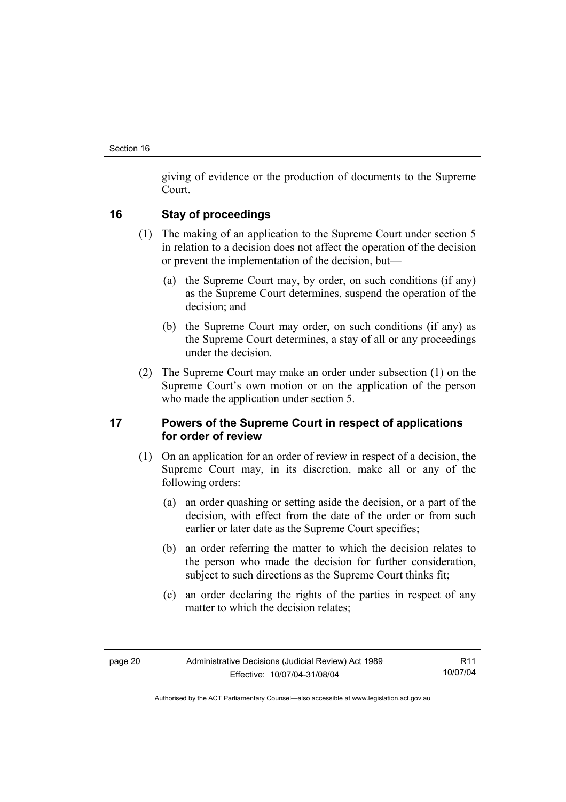giving of evidence or the production of documents to the Supreme Court.

# **16 Stay of proceedings**

- (1) The making of an application to the Supreme Court under section 5 in relation to a decision does not affect the operation of the decision or prevent the implementation of the decision, but—
	- (a) the Supreme Court may, by order, on such conditions (if any) as the Supreme Court determines, suspend the operation of the decision; and
	- (b) the Supreme Court may order, on such conditions (if any) as the Supreme Court determines, a stay of all or any proceedings under the decision.
- (2) The Supreme Court may make an order under subsection (1) on the Supreme Court's own motion or on the application of the person who made the application under section 5.

# **17 Powers of the Supreme Court in respect of applications for order of review**

- (1) On an application for an order of review in respect of a decision, the Supreme Court may, in its discretion, make all or any of the following orders:
	- (a) an order quashing or setting aside the decision, or a part of the decision, with effect from the date of the order or from such earlier or later date as the Supreme Court specifies;
	- (b) an order referring the matter to which the decision relates to the person who made the decision for further consideration, subject to such directions as the Supreme Court thinks fit;
	- (c) an order declaring the rights of the parties in respect of any matter to which the decision relates;

R11 10/07/04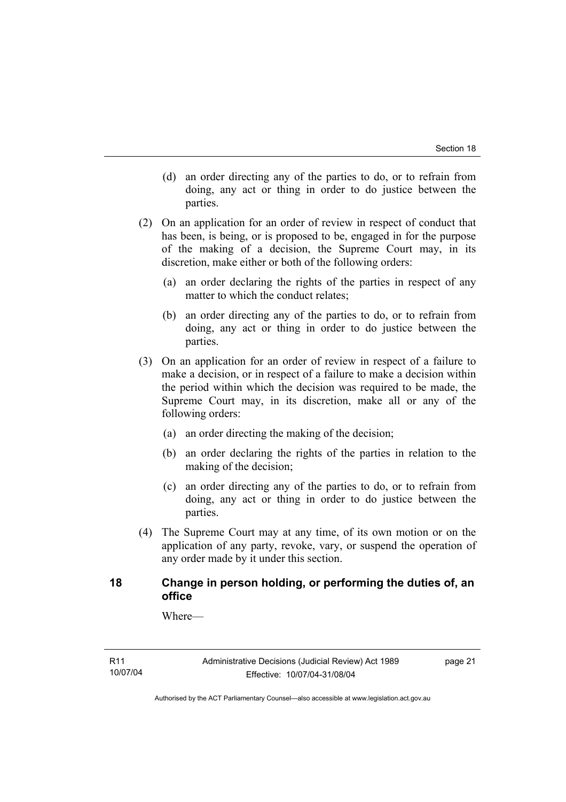- (d) an order directing any of the parties to do, or to refrain from doing, any act or thing in order to do justice between the parties.
- (2) On an application for an order of review in respect of conduct that has been, is being, or is proposed to be, engaged in for the purpose of the making of a decision, the Supreme Court may, in its discretion, make either or both of the following orders:
	- (a) an order declaring the rights of the parties in respect of any matter to which the conduct relates;
	- (b) an order directing any of the parties to do, or to refrain from doing, any act or thing in order to do justice between the parties.
- (3) On an application for an order of review in respect of a failure to make a decision, or in respect of a failure to make a decision within the period within which the decision was required to be made, the Supreme Court may, in its discretion, make all or any of the following orders:
	- (a) an order directing the making of the decision;
	- (b) an order declaring the rights of the parties in relation to the making of the decision;
	- (c) an order directing any of the parties to do, or to refrain from doing, any act or thing in order to do justice between the parties.
- (4) The Supreme Court may at any time, of its own motion or on the application of any party, revoke, vary, or suspend the operation of any order made by it under this section.

# **18 Change in person holding, or performing the duties of, an office**

Where—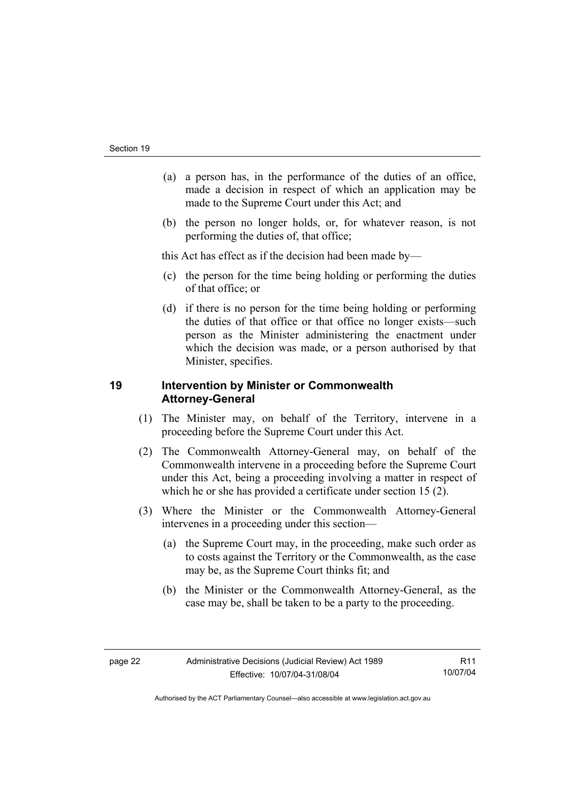- (a) a person has, in the performance of the duties of an office, made a decision in respect of which an application may be made to the Supreme Court under this Act; and
- (b) the person no longer holds, or, for whatever reason, is not performing the duties of, that office;

this Act has effect as if the decision had been made by—

- (c) the person for the time being holding or performing the duties of that office; or
- (d) if there is no person for the time being holding or performing the duties of that office or that office no longer exists—such person as the Minister administering the enactment under which the decision was made, or a person authorised by that Minister, specifies.

# **19 Intervention by Minister or Commonwealth Attorney-General**

- (1) The Minister may, on behalf of the Territory, intervene in a proceeding before the Supreme Court under this Act.
- (2) The Commonwealth Attorney-General may, on behalf of the Commonwealth intervene in a proceeding before the Supreme Court under this Act, being a proceeding involving a matter in respect of which he or she has provided a certificate under section 15 (2).
- (3) Where the Minister or the Commonwealth Attorney-General intervenes in a proceeding under this section—
	- (a) the Supreme Court may, in the proceeding, make such order as to costs against the Territory or the Commonwealth, as the case may be, as the Supreme Court thinks fit; and
	- (b) the Minister or the Commonwealth Attorney-General, as the case may be, shall be taken to be a party to the proceeding.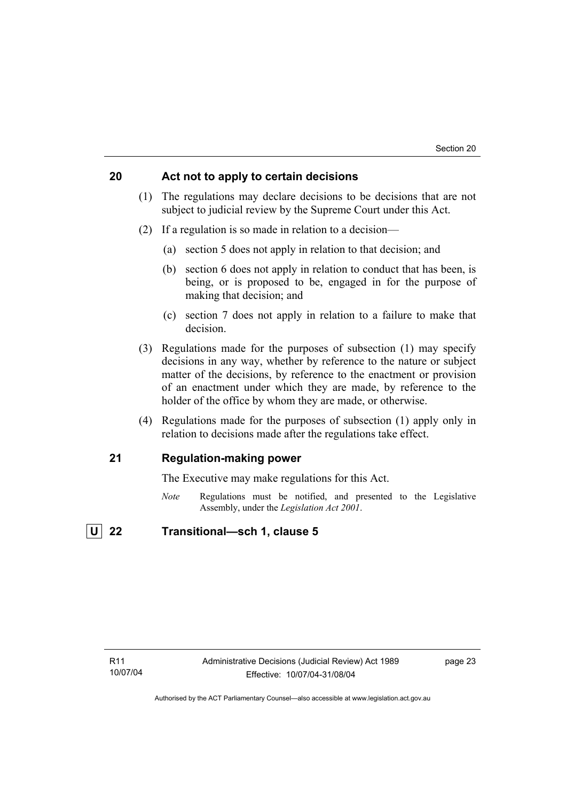# **20 Act not to apply to certain decisions**

- (1) The regulations may declare decisions to be decisions that are not subject to judicial review by the Supreme Court under this Act.
- (2) If a regulation is so made in relation to a decision—
	- (a) section 5 does not apply in relation to that decision; and
	- (b) section 6 does not apply in relation to conduct that has been, is being, or is proposed to be, engaged in for the purpose of making that decision; and
	- (c) section 7 does not apply in relation to a failure to make that decision.
- (3) Regulations made for the purposes of subsection (1) may specify decisions in any way, whether by reference to the nature or subject matter of the decisions, by reference to the enactment or provision of an enactment under which they are made, by reference to the holder of the office by whom they are made, or otherwise.
- (4) Regulations made for the purposes of subsection (1) apply only in relation to decisions made after the regulations take effect.

# **21 Regulation-making power**

The Executive may make regulations for this Act.

*Note* Regulations must be notified, and presented to the Legislative Assembly, under the *Legislation Act 2001*.

# **U 22 Transitional—sch 1, clause 5**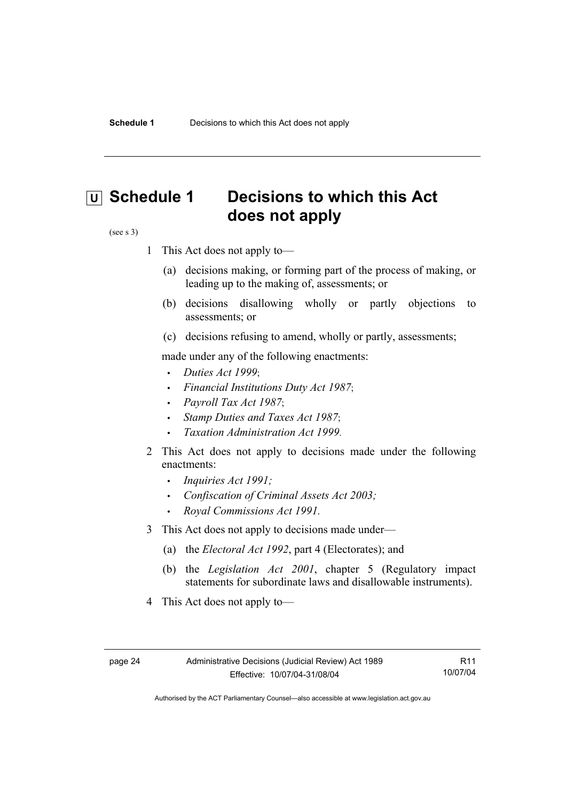# **U** Schedule 1 Decisions to which this Act **does not apply**

#### (see s 3)

- 1 This Act does not apply to—
	- (a) decisions making, or forming part of the process of making, or leading up to the making of, assessments; or
	- (b) decisions disallowing wholly or partly objections to assessments; or
	- (c) decisions refusing to amend, wholly or partly, assessments;

made under any of the following enactments:

- *Duties Act 1999*;
- *Financial Institutions Duty Act 1987*;
- *Payroll Tax Act 1987*;
- *Stamp Duties and Taxes Act 1987*;
- *Taxation Administration Act 1999*.
- 2 This Act does not apply to decisions made under the following enactments:
	- *Inquiries Act 1991;*
	- *Confiscation of Criminal Assets Act 2003;*
	- *Royal Commissions Act 1991.*
- 3 This Act does not apply to decisions made under—
	- (a) the *Electoral Act 1992*, part 4 (Electorates); and
	- (b) the *Legislation Act 2001*, chapter 5 (Regulatory impact statements for subordinate laws and disallowable instruments).
- 4 This Act does not apply to—

R11 10/07/04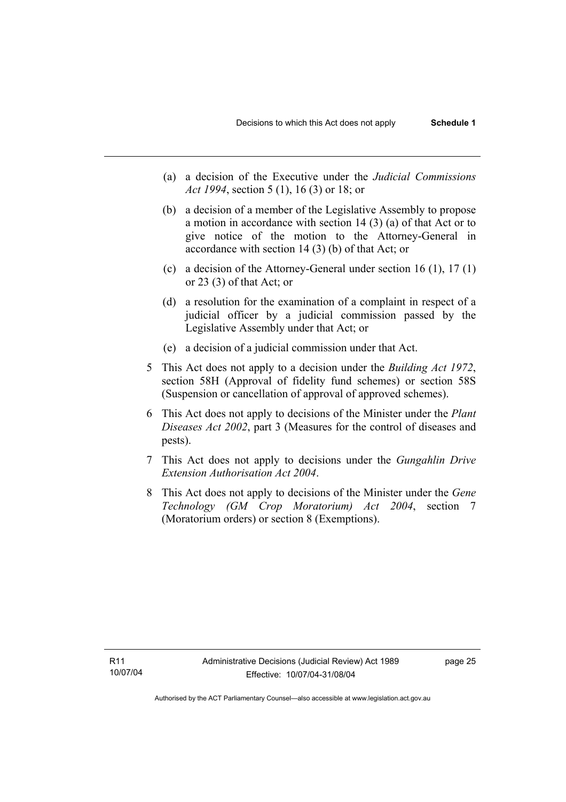- (a) a decision of the Executive under the *Judicial Commissions Act 1994*, section 5 (1), 16 (3) or 18; or
- (b) a decision of a member of the Legislative Assembly to propose a motion in accordance with section 14 (3) (a) of that Act or to give notice of the motion to the Attorney-General in accordance with section 14 (3) (b) of that Act; or
- (c) a decision of the Attorney-General under section 16 (1), 17 (1) or 23 (3) of that Act; or
- (d) a resolution for the examination of a complaint in respect of a judicial officer by a judicial commission passed by the Legislative Assembly under that Act; or
- (e) a decision of a judicial commission under that Act .
- 5 This Act does not apply to a decision under the *Building Act 1972*, section 58H (Approval of fidelity fund schemes) or section 58S (Suspension or cancellation of approval of approved schemes).
- 6 This Act does not apply to decisions of the Minister under the *Plant Diseases Act 2002*, part 3 (Measures for the control of diseases and pests).
- 7 This Act does not apply to decisions under the *Gungahlin Drive Extension Authorisation Act 2004*.
- 8 This Act does not apply to decisions of the Minister under the *Gene Technology (GM Crop Moratorium) Act 2004*, section 7 (Moratorium orders) or section 8 (Exemptions).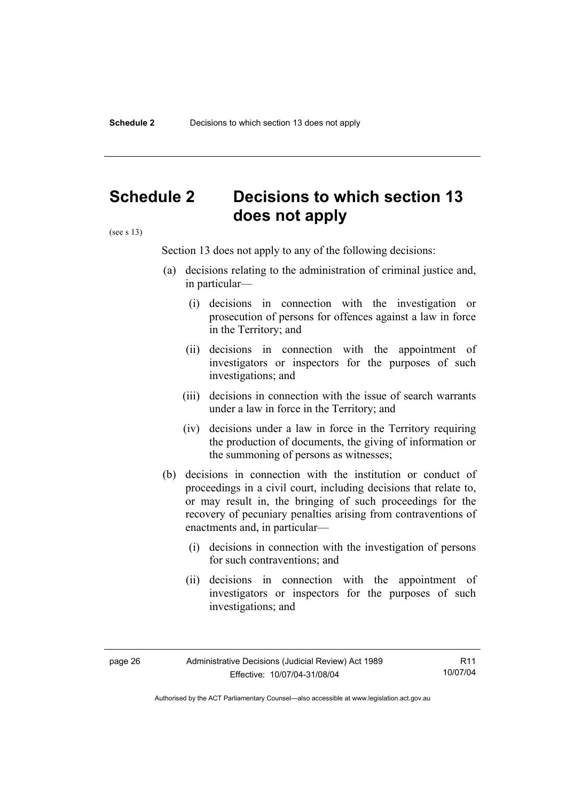# **Schedule 2 Decisions to which section 13 does not apply**

(see s 13)

Section 13 does not apply to any of the following decisions:

- (a) decisions relating to the administration of criminal justice and, in particular—
	- (i) decisions in connection with the investigation or prosecution of persons for offences against a law in force in the Territory; and
	- (ii) decisions in connection with the appointment of investigators or inspectors for the purposes of such investigations; and
	- (iii) decisions in connection with the issue of search warrants under a law in force in the Territory; and
	- (iv) decisions under a law in force in the Territory requiring the production of documents, the giving of information or the summoning of persons as witnesses;
- (b) decisions in connection with the institution or conduct of proceedings in a civil court, including decisions that relate to, or may result in, the bringing of such proceedings for the recovery of pecuniary penalties arising from contraventions of enactments and, in particular—
	- (i) decisions in connection with the investigation of persons for such contraventions; and
	- (ii) decisions in connection with the appointment of investigators or inspectors for the purposes of such investigations; and

R11 10/07/04

Authorised by the ACT Parliamentary Counsel—also accessible at www.legislation.act.gov.au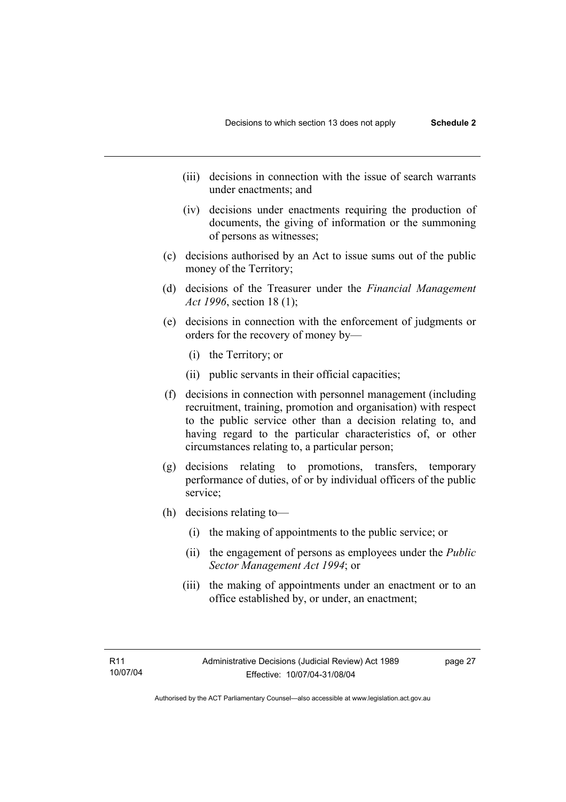- (iii) decisions in connection with the issue of search warrants under enactments; and
- (iv) decisions under enactments requiring the production of documents, the giving of information or the summoning of persons as witnesses;
- (c) decisions authorised by an Act to issue sums out of the public money of the Territory;
- (d) decisions of the Treasurer under the *Financial Management Act 1996*, section 18 (1);
- (e) decisions in connection with the enforcement of judgments or orders for the recovery of money by—
	- (i) the Territory; or
	- (ii) public servants in their official capacities;
- (f) decisions in connection with personnel management (including recruitment, training, promotion and organisation) with respect to the public service other than a decision relating to, and having regard to the particular characteristics of, or other circumstances relating to, a particular person;
- (g) decisions relating to promotions, transfers, temporary performance of duties, of or by individual officers of the public service;
- (h) decisions relating to—
	- (i) the making of appointments to the public service; or
	- (ii) the engagement of persons as employees under the *Public Sector Management Act 1994*; or
	- (iii) the making of appointments under an enactment or to an office established by, or under, an enactment;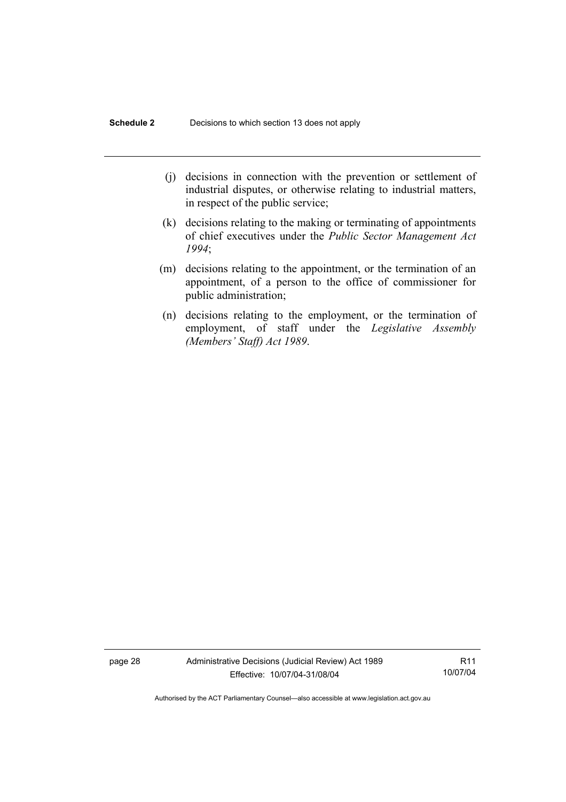- (j) decisions in connection with the prevention or settlement of industrial disputes, or otherwise relating to industrial matters, in respect of the public service;
- (k) decisions relating to the making or terminating of appointments of chief executives under the *Public Sector Management Act 1994*;
- (m) decisions relating to the appointment, or the termination of an appointment, of a person to the office of commissioner for public administration;
- (n) decisions relating to the employment, or the termination of employment, of staff under the *Legislative Assembly (Members' Staff) Act 1989*.

page 28 Administrative Decisions (Judicial Review) Act 1989 Effective: 10/07/04-31/08/04

R11 10/07/04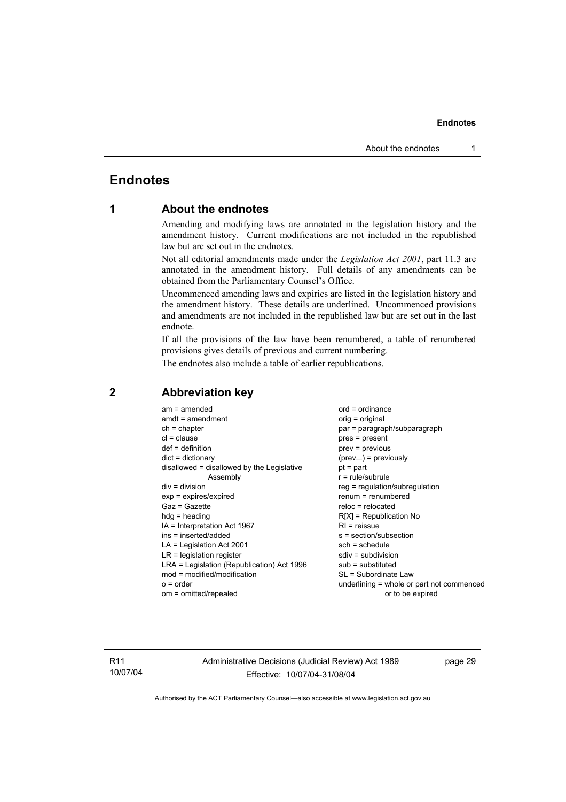# **Endnotes**

# **1 About the endnotes**

Amending and modifying laws are annotated in the legislation history and the amendment history. Current modifications are not included in the republished law but are set out in the endnotes.

Not all editorial amendments made under the *Legislation Act 2001*, part 11.3 are annotated in the amendment history. Full details of any amendments can be obtained from the Parliamentary Counsel's Office.

Uncommenced amending laws and expiries are listed in the legislation history and the amendment history. These details are underlined. Uncommenced provisions and amendments are not included in the republished law but are set out in the last endnote.

If all the provisions of the law have been renumbered, a table of renumbered provisions gives details of previous and current numbering.

The endnotes also include a table of earlier republications.

| $am = amended$                             | $ord = ordinance$                         |
|--------------------------------------------|-------------------------------------------|
| $amdt = amendment$                         | orig = original                           |
| $ch = chapter$                             | par = paragraph/subparagraph              |
| $cl = clause$                              | $pres = present$                          |
| $def = definition$                         | $prev = previous$                         |
| $dict = dictionary$                        | $(\text{prev})$ = previously              |
| disallowed = disallowed by the Legislative | $pt = part$                               |
| Assembly                                   | $r = rule/subrule$                        |
| $div = division$                           | reg = regulation/subregulation            |
| $exp = expires/expired$                    | $renum = renumbered$                      |
| $Gaz = Gazette$                            | $reloc = relocated$                       |
| $h dq =$ heading                           | $R[X]$ = Republication No                 |
| $IA = Interpretation Act 1967$             | $RI =$ reissue                            |
| ins = inserted/added                       | s = section/subsection                    |
| $LA =$ Legislation Act 2001                | $sch = schedule$                          |
| $LR =$ legislation register                | $sdiv = subdivision$                      |
| LRA = Legislation (Republication) Act 1996 | $sub =$ substituted                       |
| $mod = modified/modification$              | SL = Subordinate Law                      |
| $o = order$                                | underlining = whole or part not commenced |
| om = omitted/repealed                      | or to be expired                          |
|                                            |                                           |

# **2 Abbreviation key**

R11 10/07/04 Administrative Decisions (Judicial Review) Act 1989 Effective: 10/07/04-31/08/04

page 29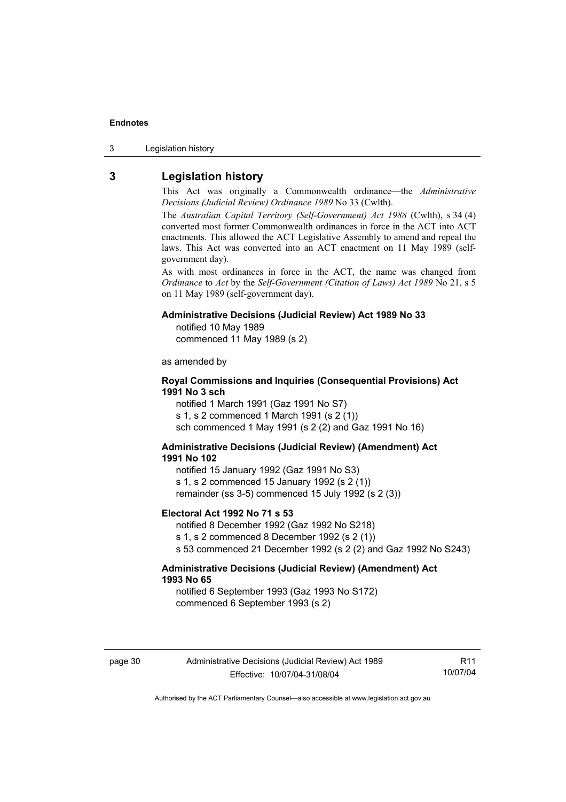3 Legislation history

# **3 Legislation history**

This Act was originally a Commonwealth ordinance—the *Administrative Decisions (Judicial Review) Ordinance 1989* No 33 (Cwlth).

The *Australian Capital Territory (Self-Government) Act 1988* (Cwlth), s 34 (4) converted most former Commonwealth ordinances in force in the ACT into ACT enactments. This allowed the ACT Legislative Assembly to amend and repeal the laws. This Act was converted into an ACT enactment on 11 May 1989 (selfgovernment day).

As with most ordinances in force in the ACT, the name was changed from *Ordinance* to *Act* by the *Self-Government (Citation of Laws) Act 1989* No 21, s 5 on 11 May 1989 (self-government day).

#### **Administrative Decisions (Judicial Review) Act 1989 No 33**

notified 10 May 1989

commenced 11 May 1989 (s 2)

as amended by

# **Royal Commissions and Inquiries (Consequential Provisions) Act 1991 No 3 sch**

notified 1 March 1991 (Gaz 1991 No S7) s 1, s 2 commenced 1 March 1991 (s 2 (1)) sch commenced 1 May 1991 (s 2 (2) and Gaz 1991 No 16)

## **Administrative Decisions (Judicial Review) (Amendment) Act 1991 No 102**

notified 15 January 1992 (Gaz 1991 No S3) s 1, s 2 commenced 15 January 1992 (s 2 (1)) remainder (ss 3-5) commenced 15 July 1992 (s 2 (3))

#### **Electoral Act 1992 No 71 s 53**

notified 8 December 1992 (Gaz 1992 No S218) s 1, s 2 commenced 8 December 1992 (s 2 (1)) s 53 commenced 21 December 1992 (s 2 (2) and Gaz 1992 No S243)

### **Administrative Decisions (Judicial Review) (Amendment) Act 1993 No 65**

notified 6 September 1993 (Gaz 1993 No S172) commenced 6 September 1993 (s 2)

R11 10/07/04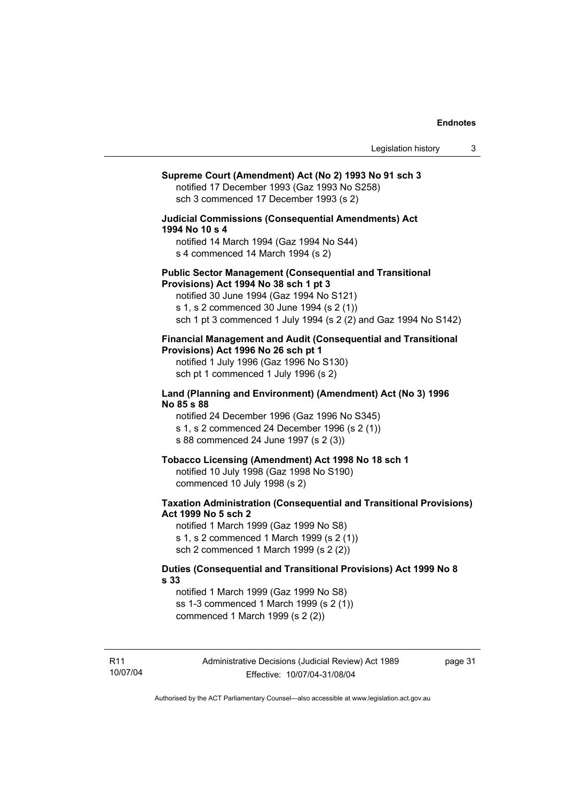# **Supreme Court (Amendment) Act (No 2) 1993 No 91 sch 3**  notified 17 December 1993 (Gaz 1993 No S258) sch 3 commenced 17 December 1993 (s 2) **Judicial Commissions (Consequential Amendments) Act 1994 No 10 s 4**  notified 14 March 1994 (Gaz 1994 No S44) s 4 commenced 14 March 1994 (s 2) **Public Sector Management (Consequential and Transitional Provisions) Act 1994 No 38 sch 1 pt 3**  notified 30 June 1994 (Gaz 1994 No S121) s 1, s 2 commenced 30 June 1994 (s 2 (1)) sch 1 pt 3 commenced 1 July 1994 (s 2 (2) and Gaz 1994 No S142) **Financial Management and Audit (Consequential and Transitional Provisions) Act 1996 No 26 sch pt 1**  notified 1 July 1996 (Gaz 1996 No S130) sch pt 1 commenced 1 July 1996 (s 2) **Land (Planning and Environment) (Amendment) Act (No 3) 1996 No 85 s 88**  notified 24 December 1996 (Gaz 1996 No S345) s 1, s 2 commenced 24 December 1996 (s 2 (1)) s 88 commenced 24 June 1997 (s 2 (3)) **Tobacco Licensing (Amendment) Act 1998 No 18 sch 1**  notified 10 July 1998 (Gaz 1998 No S190) commenced 10 July 1998 (s 2) **Taxation Administration (Consequential and Transitional Provisions) Act 1999 No 5 sch 2**  notified 1 March 1999 (Gaz 1999 No S8) s 1, s 2 commenced 1 March 1999 (s 2 (1)) sch 2 commenced 1 March 1999 (s 2 (2)) **Duties (Consequential and Transitional Provisions) Act 1999 No 8 s 33**  notified 1 March 1999 (Gaz 1999 No S8) ss 1-3 commenced 1 March 1999 (s 2 (1)) commenced 1 March 1999 (s 2 (2))

page 31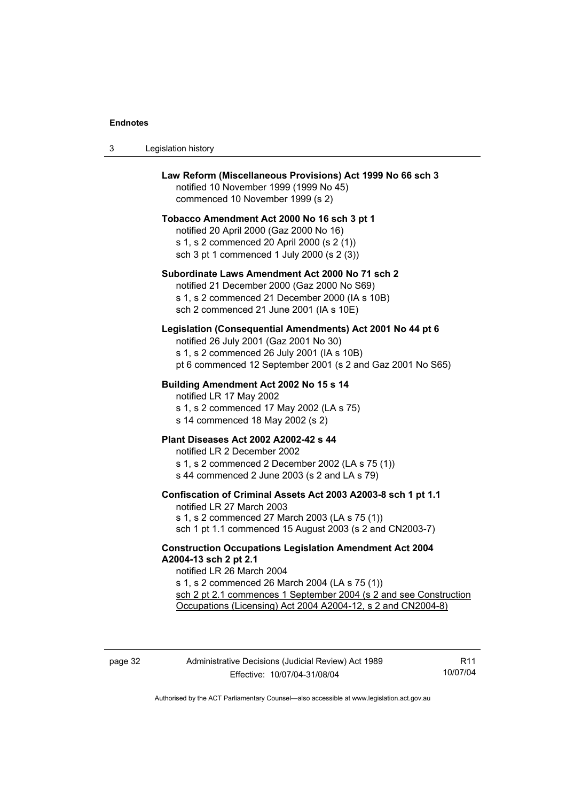$3$ 

| Legislation history                                                                                                                                                                                                                                                                                         |
|-------------------------------------------------------------------------------------------------------------------------------------------------------------------------------------------------------------------------------------------------------------------------------------------------------------|
| Law Reform (Miscellaneous Provisions) Act 1999 No 66 sch 3<br>notified 10 November 1999 (1999 No 45)<br>commenced 10 November 1999 (s 2)                                                                                                                                                                    |
| Tobacco Amendment Act 2000 No 16 sch 3 pt 1<br>notified 20 April 2000 (Gaz 2000 No 16)<br>s 1, s 2 commenced 20 April 2000 (s 2 (1))<br>sch 3 pt 1 commenced 1 July 2000 (s 2 (3))                                                                                                                          |
| Subordinate Laws Amendment Act 2000 No 71 sch 2<br>notified 21 December 2000 (Gaz 2000 No S69)<br>s 1, s 2 commenced 21 December 2000 (IA s 10B)<br>sch 2 commenced 21 June 2001 (IA s 10E)                                                                                                                 |
| Legislation (Consequential Amendments) Act 2001 No 44 pt 6<br>notified 26 July 2001 (Gaz 2001 No 30)<br>s 1, s 2 commenced 26 July 2001 (IA s 10B)<br>pt 6 commenced 12 September 2001 (s 2 and Gaz 2001 No S65)                                                                                            |
| Building Amendment Act 2002 No 15 s 14<br>notified LR 17 May 2002<br>s 1, s 2 commenced 17 May 2002 (LA s 75)<br>s 14 commenced 18 May 2002 (s 2)                                                                                                                                                           |
| Plant Diseases Act 2002 A2002-42 s 44<br>notified LR 2 December 2002<br>s 1, s 2 commenced 2 December 2002 (LA s 75 (1))<br>s 44 commenced 2 June 2003 (s 2 and LA s 79)                                                                                                                                    |
| Confiscation of Criminal Assets Act 2003 A2003-8 sch 1 pt 1.1<br>notified LR 27 March 2003<br>s 1, s 2 commenced 27 March 2003 (LA s 75 (1))<br>sch 1 pt 1.1 commenced 15 August 2003 (s 2 and CN2003-7)                                                                                                    |
| <b>Construction Occupations Legislation Amendment Act 2004</b><br>A2004-13 sch 2 pt 2.1<br>notified LR 26 March 2004<br>s 1, s 2 commenced 26 March 2004 (LA s 75 (1))<br>sch 2 pt 2.1 commences 1 September 2004 (s 2 and see Construction<br>Occupations (Licensing) Act 2004 A2004-12, s 2 and CN2004-8) |
|                                                                                                                                                                                                                                                                                                             |

R11 10/07/04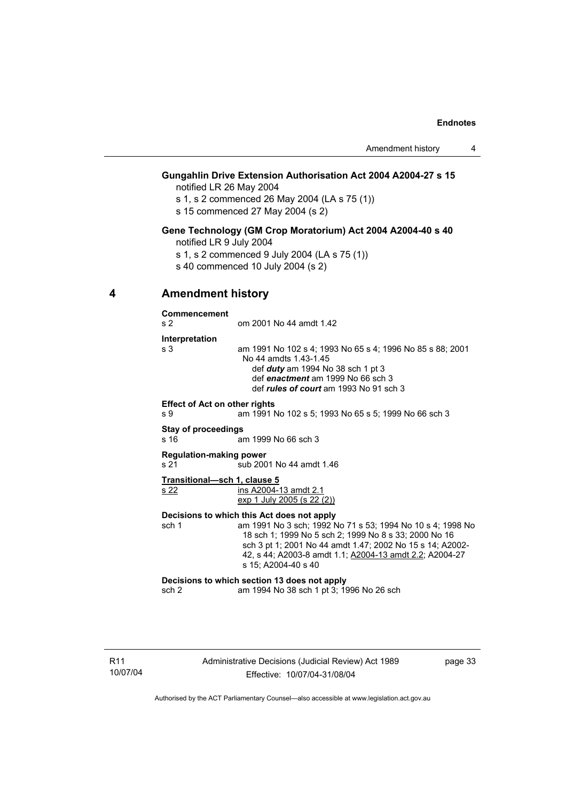# **Gungahlin Drive Extension Authorisation Act 2004 A2004-27 s 15**

notified LR 26 May 2004

- s 1, s 2 commenced 26 May 2004 (LA s 75 (1))
- s 15 commenced 27 May 2004 (s 2)

## **Gene Technology (GM Crop Moratorium) Act 2004 A2004-40 s 40**

- notified LR 9 July 2004
- s 1, s 2 commenced 9 July 2004 (LA s 75 (1))
- s 40 commenced 10 July 2004 (s 2)

# **4 Amendment history**

**Commencement** 

| s <sub>2</sub> | om 2001 No 44 amdt 1.42                                                                                                                                                                                         |
|----------------|-----------------------------------------------------------------------------------------------------------------------------------------------------------------------------------------------------------------|
| Interpretation |                                                                                                                                                                                                                 |
| s 3            | am 1991 No 102 s 4; 1993 No 65 s 4; 1996 No 85 s 88; 2001<br>No 44 amdts 1.43-1.45<br>def $duty$ am 1994 No 38 sch 1 pt 3<br>def enactment am 1999 No 66 sch 3<br>def <i>rules of court</i> am 1993 No 91 sch 3 |

**Effect of Act on other rights**  s 9 am 1991 No 102 s 5; 1993 No 65 s 5; 1999 No 66 sch 3

#### **Stay of proceedings**

s 16 am 1999 No 66 sch 3

#### **Regulation-making power**

s 21 sub 2001 No 44 amdt 1.46

#### **Transitional—sch 1, clause 5**

s 22 ins A2004-13 amdt 2.1 exp 1 July 2005 (s 22 (2))

#### **Decisions to which this Act does not apply**

sch 1 am 1991 No 3 sch; 1992 No 71 s 53; 1994 No 10 s 4; 1998 No 18 sch 1; 1999 No 5 sch 2; 1999 No 8 s 33; 2000 No 16 sch 3 pt 1; 2001 No 44 amdt 1.47; 2002 No 15 s 14; A2002- 42, s 44; A2003-8 amdt 1.1; A2004-13 amdt 2.2; A2004-27 s 15; A2004-40 s 40

#### **Decisions to which section 13 does not apply**

sch 2 am 1994 No 38 sch 1 pt 3; 1996 No 26 sch

page 33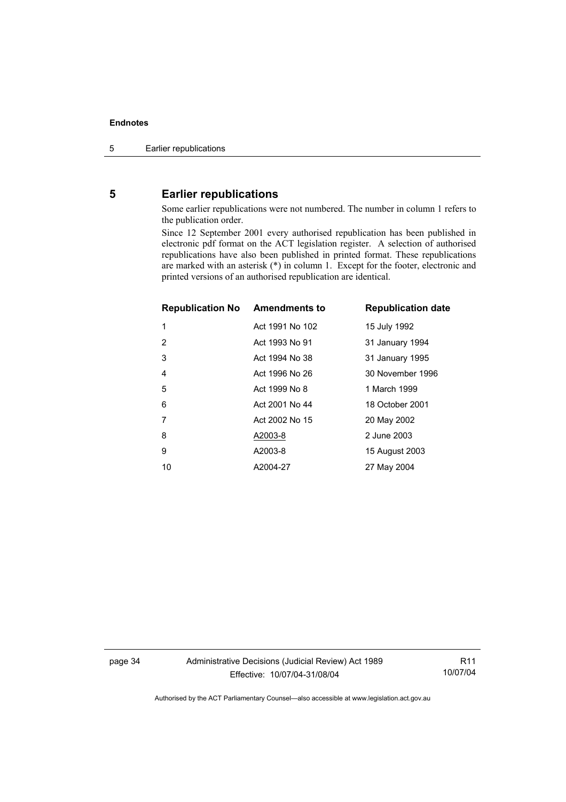# **5 Earlier republications**

Some earlier republications were not numbered. The number in column 1 refers to the publication order.

Since 12 September 2001 every authorised republication has been published in electronic pdf format on the ACT legislation register. A selection of authorised republications have also been published in printed format. These republications are marked with an asterisk (\*) in column 1. Except for the footer, electronic and printed versions of an authorised republication are identical.

| <b>Republication No Amendments to</b> |                 | <b>Republication date</b> |
|---------------------------------------|-----------------|---------------------------|
| 1                                     | Act 1991 No 102 | 15 July 1992              |
| 2                                     | Act 1993 No 91  | 31 January 1994           |
| 3                                     | Act 1994 No 38  | 31 January 1995           |
| $\overline{4}$                        | Act 1996 No 26  | 30 November 1996          |
| 5                                     | Act 1999 No 8   | 1 March 1999              |
| 6                                     | Act 2001 No 44  | 18 October 2001           |
| 7                                     | Act 2002 No 15  | 20 May 2002               |
| 8                                     | A2003-8         | 2 June 2003               |
| 9                                     | A2003-8         | 15 August 2003            |
| 10                                    | A2004-27        | 27 May 2004               |

page 34 Administrative Decisions (Judicial Review) Act 1989 Effective: 10/07/04-31/08/04

R11 10/07/04